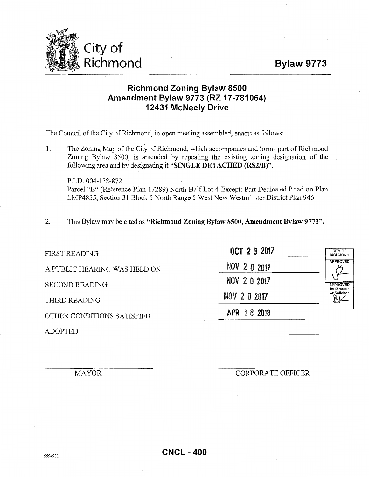## **Bylaw 9773**



## **Richmond Zoning Bylaw 8500 Amendment Bylaw 9773 (RZ 17-781064) 12431 McNeely Drive**

The Council of the City of Richmond, in open meeting. assembled, enacts as follows:

1. The Zoning Map of the City of Richmond, which accompanies and forms part of Richmond Zoning Bylaw 8500, is amended by repealing the existing zoning designation of the following area and by designating it **"SINGLE DETACHED (RS2/B)".** 

P.I.D. 004-138-872 Parcel "B" (Reference Plan 17289) North Half Lot 4 Except: Part Dedicated Road on Plan LMP4855, Section 31 Block 5 North Range 5 West New Westminster District Plan 946

2. This Bylaw may be cited as **"Richmond Zoning Bylaw 8500, Amendment Bylaw 9773".** 

FIRST READING A PUBLIC HEARING WAS HELD ON

**SECOND READING** 

THIRD READING

OTHER CONDITIONS SATISFIED APR 1 8 **<sup>2018</sup>**

ADOPTED

| OCT 2 3 2017 |  |
|--------------|--|
| NOV 2 0 2017 |  |
| NOV 2 0 2017 |  |
| NOV 2 0 2017 |  |
| APR 18 2018  |  |

CITY OF RICHMOND PROVED *tJ-*APPROVED by Director olicitor  $\sum$ 

MAYOR CORPORATE OFFICER